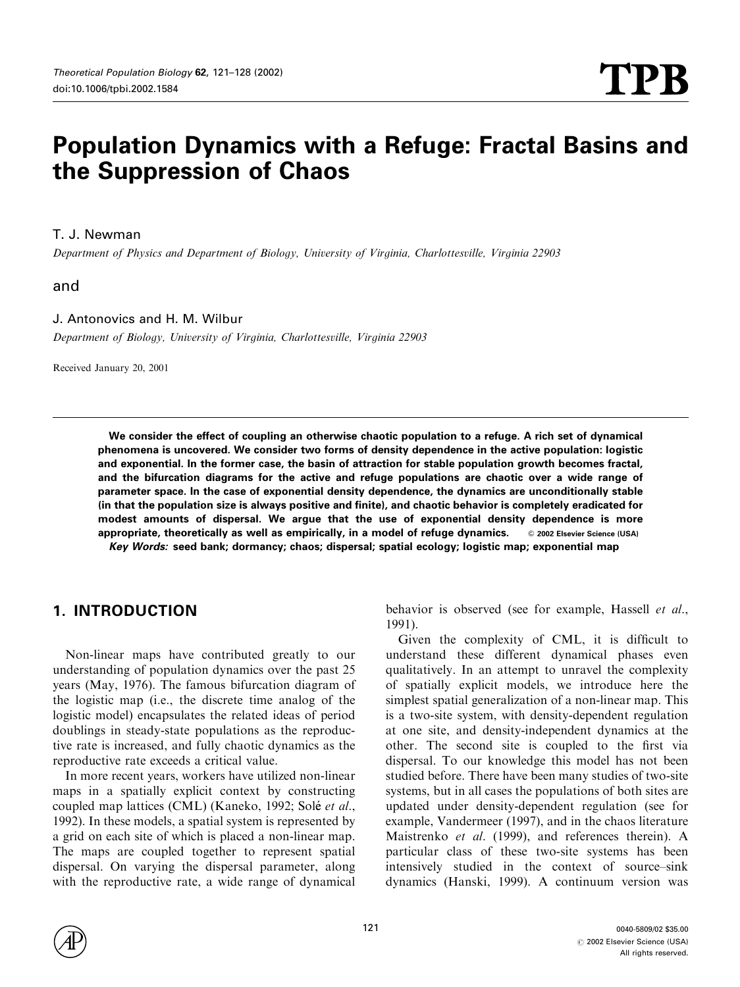# **Population Dynamics with a Refuge: Fractal Basins and the Suppression of Chaos**

#### T. J. Newman

Department of Physics and Department of Biology, University of Virginia, Charlottesville, Virginia 22903

#### and

#### J. Antonovics and H. M. Wilbur

Department of Biology, University of Virginia, Charlottesville, Virginia 22903

Received January 20, 2001

**We consider the effect of coupling an otherwise chaotic population to a refuge. A rich set of dynamical phenomena is uncovered. We consider two forms of density dependence in the active population: logistic and exponential. In the former case, the basin of attraction for stable population growth becomes fractal, and the bifurcation diagrams for the active and refuge populations are chaotic over a wide range of parameter space. In the case of exponential density dependence, the dynamics are unconditionally stable (in that the population size is always positive and finite), and chaotic behavior is completely eradicated for modest amounts of dispersal. We argue that the use of exponential density dependence is more appropriate, theoretically as well as empirically, in a model of refuge dynamics.** & **2002 Elsevier Science (USA) Key Words: seed bank; dormancy; chaos; dispersal; spatial ecology; logistic map; exponential map**

# **1. INTRODUCTION**

Non-linear maps have contributed greatly to our understanding of population dynamics over the past 25 years [\(May, 1976\)](#page-7-0). The famous bifurcation diagram of the logistic map (i.e., the discrete time analog of the logistic model) encapsulates the related ideas of period doublings in steady-state populations as the reproductive rate is increased, and fully chaotic dynamics as the reproductive rate exceeds a critical value.

In more recent years, workers have utilized non-linear maps in a spatially explicit context by constructing coupled map lattices (CML) (Kaneko, 1992; Solé et al., [1992\)](#page-7-0). In these models, a spatial system is represented by a grid on each site of which is placed a non-linear map. The maps are coupled together to represent spatial dispersal. On varying the dispersal parameter, along with the reproductive rate, a wide range of dynamical

behavior is observed (see for example, [Hassell](#page-7-0) et al., [1991\)](#page-7-0).

Given the complexity of CML, it is difficult to understand these different dynamical phases even qualitatively. In an attempt to unravel the complexity of spatially explicit models, we introduce here the simplest spatial generalization of a non-linear map. This is a two-site system, with density-dependent regulation at one site, and density-independent dynamics at the other. The second site is coupled to the first via dispersal. To our knowledge this model has not been studied before. There have been many studies of two-site systems, but in all cases the populations of both sites are updated under density-dependent regulation (see for example, [Vandermeer \(1997\),](#page-7-0) and in the chaos literature [Maistrenko](#page-7-0) et al. (1999), and references therein). A particular class of these two-site systems has been intensively studied in the context of source–sink dynamics [\(Hanski, 1999\).](#page-7-0) A continuum version was

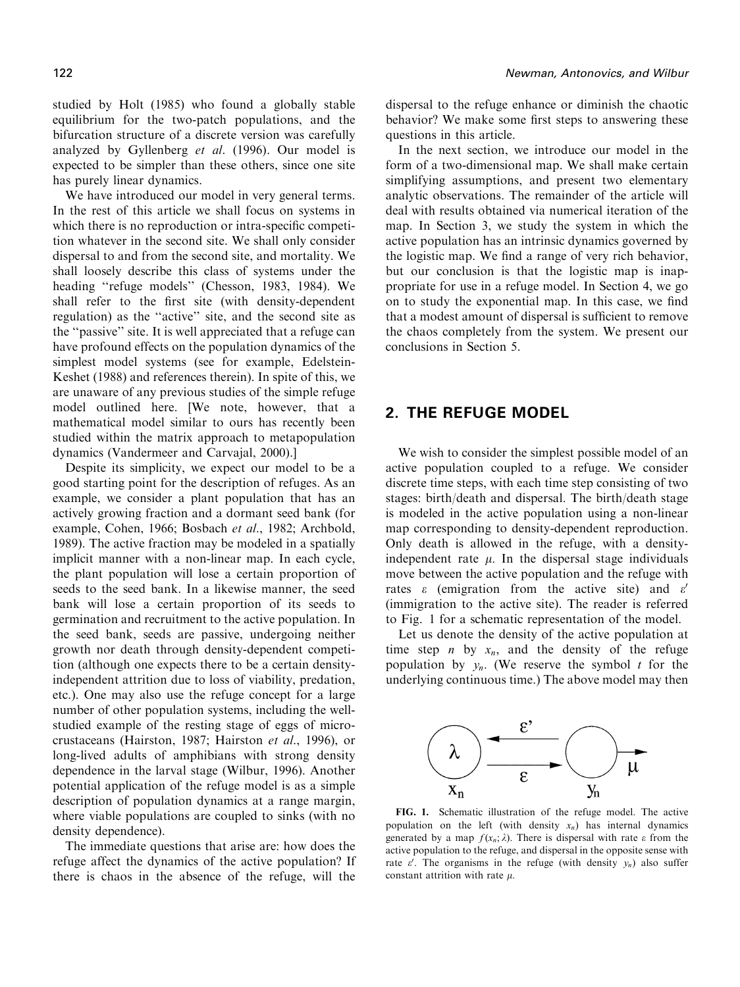<span id="page-1-0"></span>studied by [Holt \(1985\)](#page-7-0) who found a globally stable equilibrium for the two-patch populations, and the bifurcation structure of a discrete version was carefully analyzed by [Gyllenberg](#page-7-0) et al. (1996). Our model is expected to be simpler than these others, since one site has purely linear dynamics.

We have introduced our model in very general terms. In the rest of this article we shall focus on systems in which there is no reproduction or intra-specific competition whatever in the second site. We shall only consider dispersal to and from the second site, and mortality. We shall loosely describe this class of systems under the heading ''refuge models'' [\(Chesson, 1983, 1984\)](#page-7-0). We shall refer to the first site (with density-dependent regulation) as the ''active'' site, and the second site as the ''passive'' site. It is well appreciated that a refuge can have profound effects on the population dynamics of the simplest model systems (see for example, [Edelstein-](#page-7-0)[Keshet \(1988\)](#page-7-0) and references therein). In spite of this, we are unaware of any previous studies of the simple refuge model outlined here. [We note, however, that a mathematical model similar to ours has recently been studied within the matrix approach to metapopulation dynamics (Vandermeer and Carvajal, 2000).]

Despite its simplicity, we expect our model to be a good starting point for the description of refuges. As an example, we consider a plant population that has an actively growing fraction and a dormant seed bank (for example, [Cohen, 1966; Bosbach](#page-7-0) et al., 1982; [Archbold,](#page-7-0) [1989\)](#page-7-0). The active fraction may be modeled in a spatially implicit manner with a non-linear map. In each cycle, the plant population will lose a certain proportion of seeds to the seed bank. In a likewise manner, the seed bank will lose a certain proportion of its seeds to germination and recruitment to the active population. In the seed bank, seeds are passive, undergoing neither growth nor death through density-dependent competition (although one expects there to be a certain densityindependent attrition due to loss of viability, predation, etc.). One may also use the refuge concept for a large number of other population systems, including the wellstudied example of the resting stage of eggs of microcrustaceans [\(Hairston, 1987; Hairston](#page-7-0) et al., 1996), or long-lived adults of amphibians with strong density dependence in the larval stage [\(Wilbur, 1996\)](#page-7-0). Another potential application of the refuge model is as a simple description of population dynamics at a range margin, where viable populations are coupled to sinks (with no density dependence).

The immediate questions that arise are: how does the refuge affect the dynamics of the active population? If there is chaos in the absence of the refuge, will the dispersal to the refuge enhance or diminish the chaotic behavior? We make some first steps to answering these questions in this article.

In the next section, we introduce our model in the form of a two-dimensional map. We shall make certain simplifying assumptions, and present two elementary analytic observations. The remainder of the article will deal with results obtained via numerical iteration of the map. In [Section 3,](#page-3-0) we study the system in which the active population has an intrinsic dynamics governed by the logistic map. We find a range of very rich behavior, but our conclusion is that the logistic map is inappropriate for use in a refuge model. In Section 4, we go on to study the exponential map. In this case, we find that a modest amount of dispersal is sufficient to remove the chaos completely from the system. We present our conclusions in [Section 5.](#page-6-0)

#### **2. THE REFUGE MODEL**

We wish to consider the simplest possible model of an active population coupled to a refuge. We consider discrete time steps, with each time step consisting of two stages: birth/death and dispersal. The birth/death stage is modeled in the active population using a non-linear map corresponding to density-dependent reproduction. Only death is allowed in the refuge, with a densityindependent rate  $\mu$ . In the dispersal stage individuals move between the active population and the refuge with rates  $\varepsilon$  (emigration from the active site) and  $\varepsilon'$ (immigration to the active site). The reader is referred to Fig. 1 for a schematic representation of the model.

Let us denote the density of the active population at time step  $n$  by  $x_n$ , and the density of the refuge population by  $y_n$ . (We reserve the symbol  $t$  for the underlying continuous time.) The above model may then



FIG. 1. Schematic illustration of the refuge model. The active population on the left (with density  $x_n$ ) has internal dynamics generated by a map  $f(x_n; \lambda)$ . There is dispersal with rate  $\varepsilon$  from the active population to the refuge, and dispersal in the opposite sense with rate  $\varepsilon'$ . The organisms in the refuge (with density  $y_n$ ) also suffer constant attrition with rate  $\mu$ .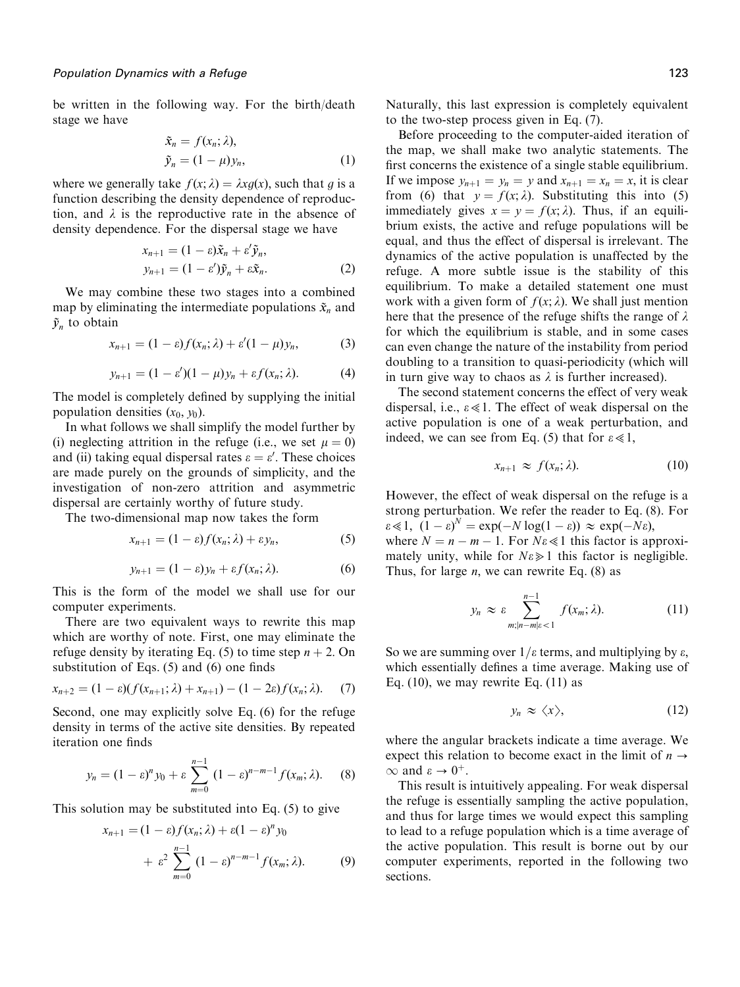<span id="page-2-0"></span>be written in the following way. For the birth/death stage we have

$$
\tilde{x}_n = f(x_n; \lambda), \n\tilde{y}_n = (1 - \mu)y_n,
$$
\n(1)

where we generally take  $f(x; \lambda) = \lambda x g(x)$ , such that *g* is a function describing the density dependence of reproduction, and  $\lambda$  is the reproductive rate in the absence of density dependence. For the dispersal stage we have

$$
x_{n+1} = (1 - \varepsilon)\tilde{x}_n + \varepsilon' \tilde{y}_n,
$$
  
\n
$$
y_{n+1} = (1 - \varepsilon')\tilde{y}_n + \varepsilon \tilde{x}_n.
$$
\n(2)

We may combine these two stages into a combined map by eliminating the intermediate populations  $\tilde{x}_n$  and  $\tilde{y}_n$  to obtain

$$
x_{n+1} = (1 - \varepsilon) f(x_n; \lambda) + \varepsilon' (1 - \mu) y_n,
$$
 (3)

$$
y_{n+1} = (1 - \varepsilon')(1 - \mu)y_n + \varepsilon f(x_n; \lambda).
$$
 (4)

The model is completely defined by supplying the initial population densities  $(x_0, y_0)$ .

In what follows we shall simplify the model further by (i) neglecting attrition in the refuge (i.e., we set  $\mu = 0$ ) and (ii) taking equal dispersal rates  $\varepsilon = \varepsilon'$ . These choices are made purely on the grounds of simplicity, and the investigation of non-zero attrition and asymmetric dispersal are certainly worthy of future study.

The two-dimensional map now takes the form

$$
x_{n+1} = (1 - \varepsilon)f(x_n; \lambda) + \varepsilon y_n, \tag{5}
$$

$$
y_{n+1} = (1 - \varepsilon)y_n + \varepsilon f(x_n; \lambda).
$$
 (6)

This is the form of the model we shall use for our computer experiments.

There are two equivalent ways to rewrite this map which are worthy of note. First, one may eliminate the refuge density by iterating Eq. (5) to time step  $n + 2$ . On substitution of Eqs. (5) and (6) one finds

$$
x_{n+2} = (1 - \varepsilon)(f(x_{n+1}; \lambda) + x_{n+1}) - (1 - 2\varepsilon)f(x_n; \lambda). \tag{7}
$$

Second, one may explicitly solve Eq. (6) for the refuge density in terms of the active site densities. By repeated iteration one finds

$$
y_n = (1 - \varepsilon)^n y_0 + \varepsilon \sum_{m=0}^{n-1} (1 - \varepsilon)^{n-m-1} f(x_m; \lambda).
$$
 (8)

This solution may be substituted into Eq. (5) to give

$$
x_{n+1} = (1 - \varepsilon)f(x_n; \lambda) + \varepsilon(1 - \varepsilon)^n y_0
$$
  
+ 
$$
\varepsilon^2 \sum_{m=0}^{n-1} (1 - \varepsilon)^{n-m-1} f(x_m; \lambda).
$$
 (9)

Naturally, this last expression is completely equivalent to the two-step process given in Eq. (7).

Before proceeding to the computer-aided iteration of the map, we shall make two analytic statements. The first concerns the existence of a single stable equilibrium. If we impose  $y_{n+1} = y_n = y$  and  $x_{n+1} = x_n = x$ , it is clear from (6) that  $y = f(x; \lambda)$ . Substituting this into (5) immediately gives  $x = y = f(x; \lambda)$ . Thus, if an equilibrium exists, the active and refuge populations will be equal, and thus the effect of dispersal is irrelevant. The dynamics of the active population is unaffected by the refuge. A more subtle issue is the stability of this equilibrium. To make a detailed statement one must work with a given form of  $f(x; \lambda)$ . We shall just mention here that the presence of the refuge shifts the range of  $\lambda$ for which the equilibrium is stable, and in some cases can even change the nature of the instability from period doubling to a transition to quasi-periodicity (which will in turn give way to chaos as  $\lambda$  is further increased).

The second statement concerns the effect of very weak dispersal, i.e.,  $\epsilon \ll 1$ . The effect of weak dispersal on the active population is one of a weak perturbation, and indeed, we can see from Eq. (5) that for  $\varepsilon \ll 1$ ,

$$
x_{n+1} \approx f(x_n; \lambda). \tag{10}
$$

However, the effect of weak dispersal on the refuge is a strong perturbation. We refer the reader to Eq. (8). For  $\varepsilon \le 1$ ,  $(1 - \varepsilon)^N = \exp(-N \log(1 - \varepsilon)) \approx \exp(-N\varepsilon)$ ,

where  $N = n - m - 1$ . For  $N\epsilon \ll 1$  this factor is approximately unity, while for  $N\varepsilon \gg 1$  this factor is negligible. Thus, for large *n*; we can rewrite Eq. (8) as

$$
y_n \approx \varepsilon \sum_{m;|n-m|\varepsilon < 1}^{n-1} f(x_m; \lambda). \tag{11}
$$

So we are summing over  $1/\varepsilon$  terms, and multiplying by  $\varepsilon$ , which essentially defines a time average. Making use of Eq.  $(10)$ , we may rewrite Eq.  $(11)$  as

$$
y_n \approx \langle x \rangle, \tag{12}
$$

where the angular brackets indicate a time average. We expect this relation to become exact in the limit of  $n \rightarrow$  $\infty$  and  $\varepsilon \to 0^+$ .

This result is intuitively appealing. For weak dispersal the refuge is essentially sampling the active population, and thus for large times we would expect this sampling to lead to a refuge population which is a time average of the active population. This result is borne out by our computer experiments, reported in the following two sections.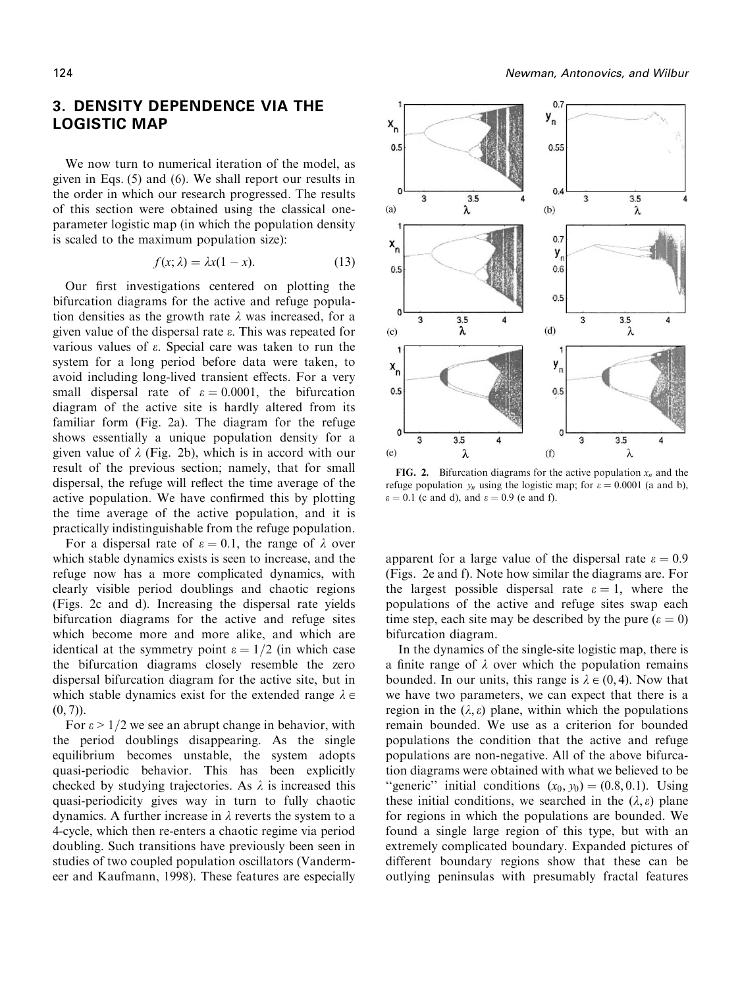## <span id="page-3-0"></span>**3. DENSITY DEPENDENCE VIA THE LOGISTIC MAP**

We now turn to numerical iteration of the model, as given in [Eqs. \(5\)](#page-2-0) and [\(6\)](#page-2-0). We shall report our results in the order in which our research progressed. The results of this section were obtained using the classical oneparameter logistic map (in which the population density is scaled to the maximum population size):

$$
f(x; \lambda) = \lambda x (1 - x). \tag{13}
$$

Our first investigations centered on plotting the bifurcation diagrams for the active and refuge population densities as the growth rate  $\lambda$  was increased, for a given value of the dispersal rate  $\varepsilon$ . This was repeated for various values of e: Special care was taken to run the system for a long period before data were taken, to avoid including long-lived transient effects. For a very small dispersal rate of  $\varepsilon = 0.0001$ , the bifurcation diagram of the active site is hardly altered from its familiar form (Fig. 2a). The diagram for the refuge shows essentially a unique population density for a given value of  $\lambda$  (Fig. 2b), which is in accord with our result of the previous section; namely, that for small dispersal, the refuge will reflect the time average of the active population. We have confirmed this by plotting the time average of the active population, and it is practically indistinguishable from the refuge population.

For a dispersal rate of  $\varepsilon = 0.1$ , the range of  $\lambda$  over which stable dynamics exists is seen to increase, and the refuge now has a more complicated dynamics, with clearly visible period doublings and chaotic regions (Figs. 2c and d). Increasing the dispersal rate yields bifurcation diagrams for the active and refuge sites which become more and more alike, and which are identical at the symmetry point  $\varepsilon = 1/2$  (in which case the bifurcation diagrams closely resemble the zero dispersal bifurcation diagram for the active site, but in which stable dynamics exist for the extended range  $\lambda \in$  $(0, 7)$ .

For  $\epsilon > 1/2$  we see an abrupt change in behavior, with the period doublings disappearing. As the single equilibrium becomes unstable, the system adopts quasi-periodic behavior. This has been explicitly checked by studying trajectories. As  $\lambda$  is increased this quasi-periodicity gives way in turn to fully chaotic dynamics. A further increase in  $\lambda$  reverts the system to a 4-cycle, which then re-enters a chaotic regime via period doubling. Such transitions have previously been seen in studies of two coupled population oscillators ([Vanderm](#page-7-0)[eer and Kaufmann, 1998\)](#page-7-0). These features are especially



**FIG. 2.** Bifurcation diagrams for the active population  $x_n$  and the refuge population  $y_n$  using the logistic map; for  $\varepsilon = 0.0001$  (a and b),  $\epsilon = 0.1$  (c and d), and  $\epsilon = 0.9$  (e and f).

apparent for a large value of the dispersal rate  $\varepsilon = 0.9$ (Figs. 2e and f). Note how similar the diagrams are. For the largest possible dispersal rate  $\varepsilon = 1$ , where the populations of the active and refuge sites swap each time step, each site may be described by the pure  $(\epsilon = 0)$ bifurcation diagram.

In the dynamics of the single-site logistic map, there is a finite range of  $\lambda$  over which the population remains bounded. In our units, this range is  $\lambda \in (0, 4)$ . Now that we have two parameters, we can expect that there is a region in the  $(\lambda, \varepsilon)$  plane, within which the populations remain bounded. We use as a criterion for bounded populations the condition that the active and refuge populations are non-negative. All of the above bifurcation diagrams were obtained with what we believed to be "generic" initial conditions  $(x_0, y_0) = (0.8, 0.1)$ . Using these initial conditions, we searched in the  $(\lambda, \varepsilon)$  plane for regions in which the populations are bounded. We found a single large region of this type, but with an extremely complicated boundary. Expanded pictures of different boundary regions show that these can be outlying peninsulas with presumably fractal features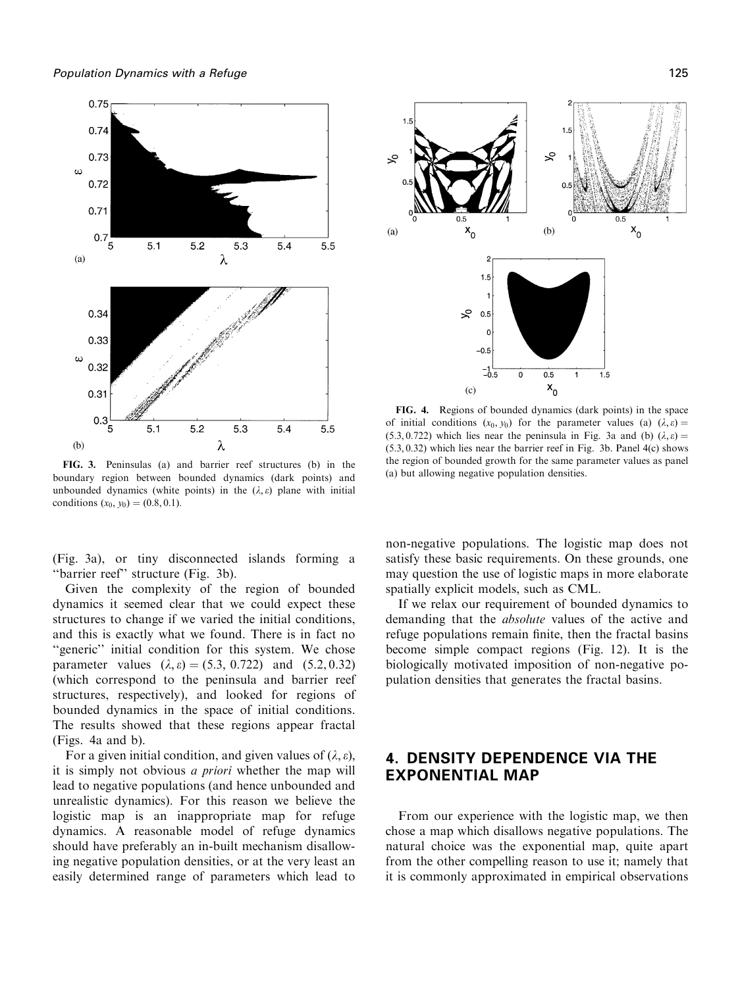

FIG. 3. Peninsulas (a) and barrier reef structures (b) in the boundary region between bounded dynamics (dark points) and unbounded dynamics (white points) in the  $(\lambda, \varepsilon)$  plane with initial conditions  $(x_0, y_0) = (0.8, 0.1)$ .

(Fig. 3a), or tiny disconnected islands forming a "barrier reef" structure (Fig. 3b).

Given the complexity of the region of bounded dynamics it seemed clear that we could expect these structures to change if we varied the initial conditions, and this is exactly what we found. There is in fact no "generic" initial condition for this system. We chose parameter values  $(\lambda, \varepsilon) = (5.3, 0.722)$  and  $(5.2, 0.32)$ (which correspond to the peninsula and barrier reef structures, respectively), and looked for regions of bounded dynamics in the space of initial conditions. The results showed that these regions appear fractal (Figs. 4a and b).

For a given initial condition, and given values of  $(\lambda, \varepsilon)$ , it is simply not obvious a priori whether the map will lead to negative populations (and hence unbounded and unrealistic dynamics). For this reason we believe the logistic map is an inappropriate map for refuge dynamics. A reasonable model of refuge dynamics should have preferably an in-built mechanism disallowing negative population densities, or at the very least an easily determined range of parameters which lead to



FIG. 4. Regions of bounded dynamics (dark points) in the space of initial conditions  $(x_0, y_0)$  for the parameter values (a)  $(\lambda, \varepsilon) =$ (5.3, 0.722) which lies near the peninsula in Fig. 3a and (b)  $(\lambda, \varepsilon) =$  $(5.3, 0.32)$  which lies near the barrier reef in Fig. 3b. Panel  $4(c)$  shows the region of bounded growth for the same parameter values as panel (a) but allowing negative population densities.

non-negative populations. The logistic map does not satisfy these basic requirements. On these grounds, one may question the use of logistic maps in more elaborate spatially explicit models, such as CML.

If we relax our requirement of bounded dynamics to demanding that the absolute values of the active and refuge populations remain finite, then the fractal basins become simple compact regions (Fig. 12). It is the biologically motivated imposition of non-negative population densities that generates the fractal basins.

## **4. DENSITY DEPENDENCE VIA THE EXPONENTIAL MAP**

From our experience with the logistic map, we then chose a map which disallows negative populations. The natural choice was the exponential map, quite apart from the other compelling reason to use it; namely that it is commonly approximated in empirical observations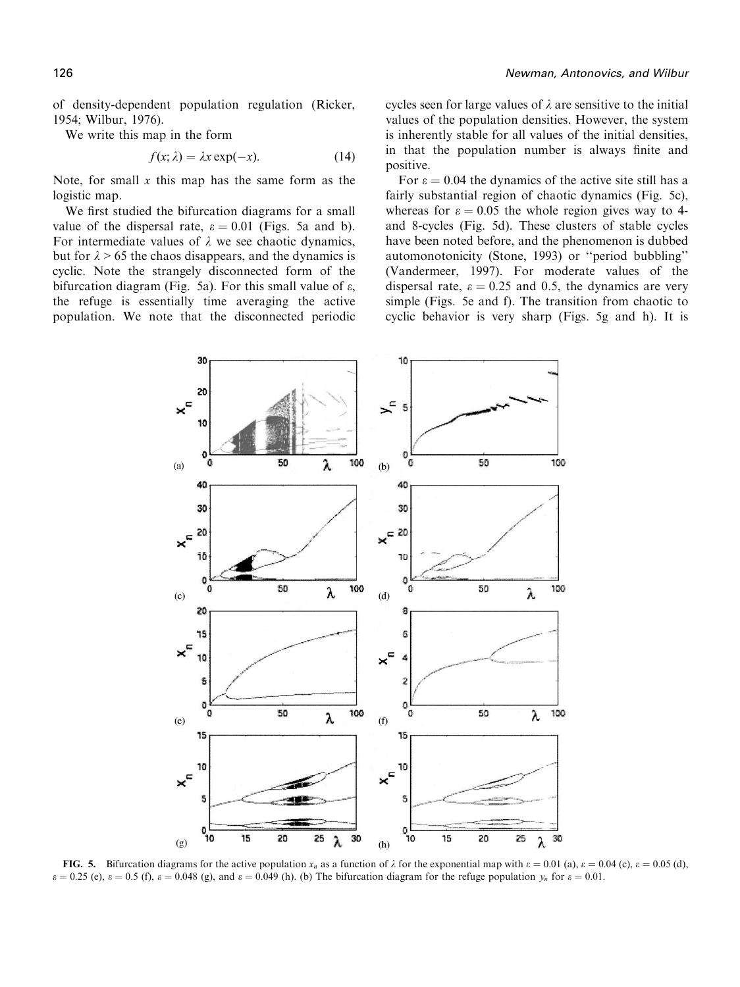of density-dependent population regulation [\(Ricker,](#page-7-0) [1954; Wilbur, 1976\)](#page-7-0).

We write this map in the form

$$
f(x; \lambda) = \lambda x \exp(-x). \tag{14}
$$

Note, for small *x* this map has the same form as the logistic map.

We first studied the bifurcation diagrams for a small value of the dispersal rate,  $\varepsilon = 0.01$  (Figs. 5a and b). For intermediate values of  $\lambda$  we see chaotic dynamics, but for  $\lambda > 65$  the chaos disappears, and the dynamics is cyclic. Note the strangely disconnected form of the bifurcation diagram (Fig. 5a). For this small value of  $\varepsilon$ , the refuge is essentially time averaging the active population. We note that the disconnected periodic cycles seen for large values of  $\lambda$  are sensitive to the initial values of the population densities. However, the system is inherently stable for all values of the initial densities, in that the population number is always finite and positive.

For  $\varepsilon = 0.04$  the dynamics of the active site still has a fairly substantial region of chaotic dynamics (Fig. 5c), whereas for  $\varepsilon = 0.05$  the whole region gives way to 4and 8-cycles (Fig. 5d). These clusters of stable cycles have been noted before, and the phenomenon is dubbed automonotonicity [\(Stone, 1993\)](#page-7-0) or ''period bubbling'' [\(Vandermeer, 1997\).](#page-7-0) For moderate values of the dispersal rate,  $\epsilon = 0.25$  and 0.5, the dynamics are very simple (Figs. 5e and f). The transition from chaotic to cyclic behavior is very sharp (Figs. 5g and h). It is



FIG. 5. Bifurcation diagrams for the active population  $x_n$  as a function of  $\lambda$  for the exponential map with  $\varepsilon = 0.01$  (a),  $\varepsilon = 0.04$  (c),  $\varepsilon = 0.05$  (d),  $\varepsilon = 0.25$  (e),  $\varepsilon = 0.5$  (f),  $\varepsilon = 0.048$  (g), and  $\varepsilon = 0.049$  (h). (b) The bifurcation diagram for the refuge population  $y_n$  for  $\varepsilon = 0.01$ .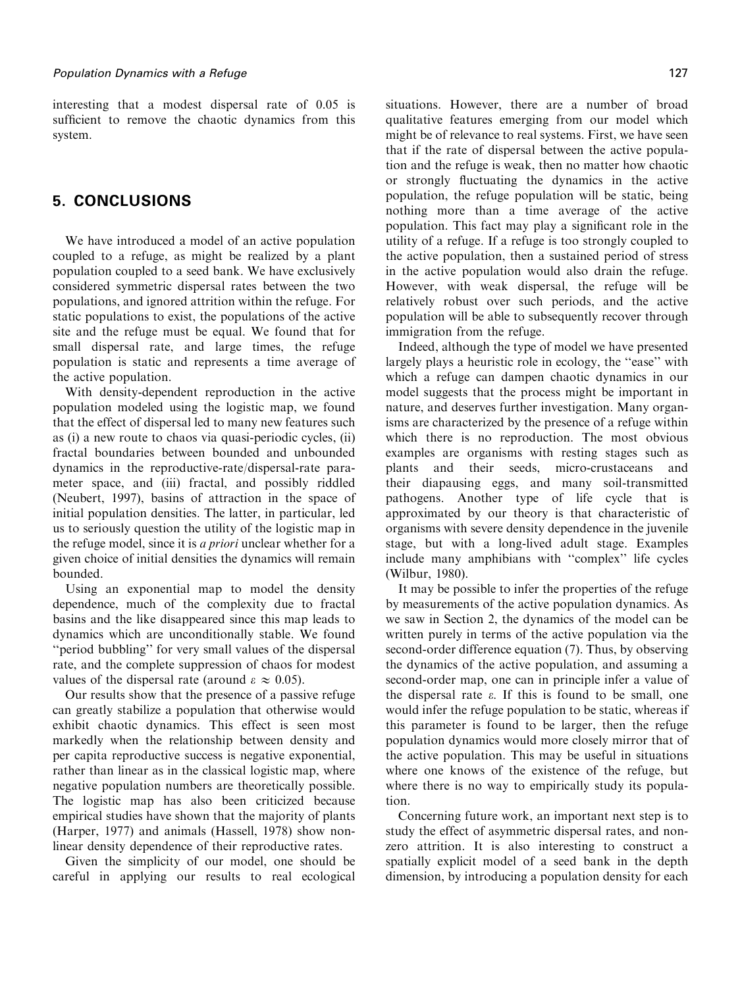<span id="page-6-0"></span>interesting that a modest dispersal rate of 0.05 is sufficient to remove the chaotic dynamics from this system.

#### **5. CONCLUSIONS**

We have introduced a model of an active population coupled to a refuge, as might be realized by a plant population coupled to a seed bank. We have exclusively considered symmetric dispersal rates between the two populations, and ignored attrition within the refuge. For static populations to exist, the populations of the active site and the refuge must be equal. We found that for small dispersal rate, and large times, the refuge population is static and represents a time average of the active population.

With density-dependent reproduction in the active population modeled using the logistic map, we found that the effect of dispersal led to many new features such as (i) a new route to chaos via quasi-periodic cycles, (ii) fractal boundaries between bounded and unbounded dynamics in the reproductive-rate/dispersal-rate parameter space, and (iii) fractal, and possibly riddled [\(Neubert, 1997\),](#page-7-0) basins of attraction in the space of initial population densities. The latter, in particular, led us to seriously question the utility of the logistic map in the refuge model, since it is a priori unclear whether for a given choice of initial densities the dynamics will remain bounded.

Using an exponential map to model the density dependence, much of the complexity due to fractal basins and the like disappeared since this map leads to dynamics which are unconditionally stable. We found ''period bubbling'' for very small values of the dispersal rate, and the complete suppression of chaos for modest values of the dispersal rate (around  $\varepsilon \approx 0.05$ ).

Our results show that the presence of a passive refuge can greatly stabilize a population that otherwise would exhibit chaotic dynamics. This effect is seen most markedly when the relationship between density and per capita reproductive success is negative exponential, rather than linear as in the classical logistic map, where negative population numbers are theoretically possible. The logistic map has also been criticized because empirical studies have shown that the majority of plants [\(Harper, 1977\) a](#page-7-0)nd animals [\(Hassell, 1978\) s](#page-7-0)how nonlinear density dependence of their reproductive rates.

Given the simplicity of our model, one should be careful in applying our results to real ecological situations. However, there are a number of broad qualitative features emerging from our model which might be of relevance to real systems. First, we have seen that if the rate of dispersal between the active population and the refuge is weak, then no matter how chaotic or strongly fluctuating the dynamics in the active population, the refuge population will be static, being nothing more than a time average of the active population. This fact may play a significant role in the utility of a refuge. If a refuge is too strongly coupled to the active population, then a sustained period of stress in the active population would also drain the refuge. However, with weak dispersal, the refuge will be relatively robust over such periods, and the active population will be able to subsequently recover through immigration from the refuge.

Indeed, although the type of model we have presented largely plays a heuristic role in ecology, the "ease" with which a refuge can dampen chaotic dynamics in our model suggests that the process might be important in nature, and deserves further investigation. Many organisms are characterized by the presence of a refuge within which there is no reproduction. The most obvious examples are organisms with resting stages such as plants and their seeds, micro-crustaceans and their diapausing eggs, and many soil-transmitted pathogens. Another type of life cycle that is approximated by our theory is that characteristic of organisms with severe density dependence in the juvenile stage, but with a long-lived adult stage. Examples include many amphibians with ''complex'' life cycles [\(Wilbur, 1980\).](#page-7-0)

It may be possible to infer the properties of the refuge by measurements of the active population dynamics. As we saw in [Section 2,](#page-1-0) the dynamics of the model can be written purely in terms of the active population via the second-order difference [equation \(7\).](#page-2-0) Thus, by observing the dynamics of the active population, and assuming a second-order map, one can in principle infer a value of the dispersal rate  $\varepsilon$ . If this is found to be small, one would infer the refuge population to be static, whereas if this parameter is found to be larger, then the refuge population dynamics would more closely mirror that of the active population. This may be useful in situations where one knows of the existence of the refuge, but where there is no way to empirically study its population.

Concerning future work, an important next step is to study the effect of asymmetric dispersal rates, and nonzero attrition. It is also interesting to construct a spatially explicit model of a seed bank in the depth dimension, by introducing a population density for each